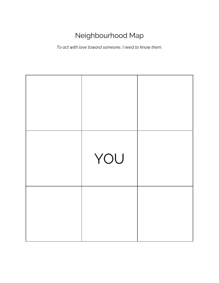## Neighbourhood Map

*To act with love toward someone, I need to know them.*